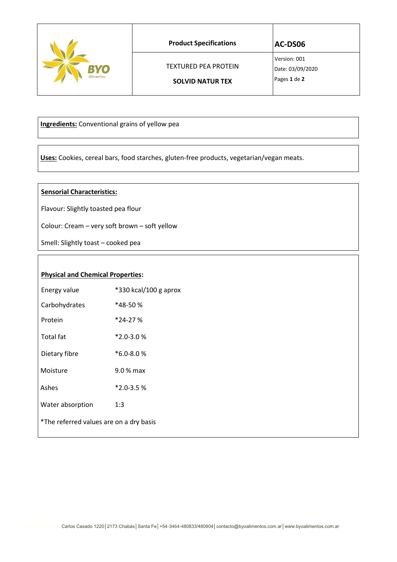|           | <b>Product Specifications</b> | AC-DS06                          |
|-----------|-------------------------------|----------------------------------|
| BYO)      | <b>TEXTURED PEA PROTEIN</b>   | Version: 001<br>Date: 03/09/2020 |
| Alimentos | <b>SOLVID NATUR TEX</b>       | Pages 1 de 2                     |

 **Ingredients:** Conventional grains of yellow pea

 **Uses:** Cookies, cereal bars, food starches, gluten-free products, vegetarian/vegan meats.

## **Sensorial Characteristics:**

Flavour: Slightly toasted pea flour

Colour: Cream – very soft brown – soft yellow

Smell: Slightly toast – cooked pea

## **Physical and Chemical Properties:**

| Energy value                            | *330 kcal/100 g aprox |
|-----------------------------------------|-----------------------|
| Carbohydrates                           | *48-50 %              |
| Protein                                 | $*24-27%$             |
| <b>Total fat</b>                        | $*2.0 - 3.0 %$        |
| Dietary fibre                           | $*6.0 - 8.0%$         |
| Moisture                                | 9.0 % max             |
| Ashes                                   | $*2.0 - 3.5%$         |
| Water absorption                        | 1:3                   |
| *The referred values are on a dry basis |                       |
|                                         |                       |